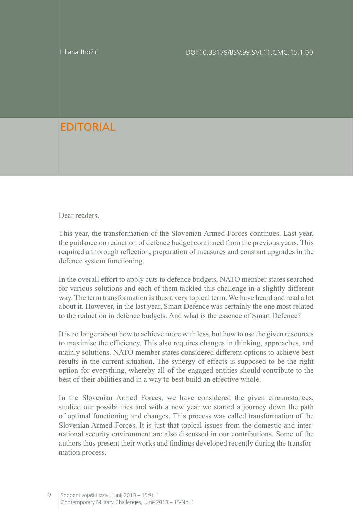Liliana Brožič

## **FDITORIAL**

Dear readers.

This year, the transformation of the Slovenian Armed Forces continues. Last year, the guidance on reduction of defence budget continued from the previous years. This required a thorough reflection, preparation of measures and constant upgrades in the defence system functioning.

In the overall effort to apply cuts to defence budgets, NATO member states searched for various solutions and each of them tackled this challenge in a slightly different way. The term transformation is thus a very topical term. We have heard and read a lot about it. However, in the last year, Smart Defence was certainly the one most related to the reduction in defence budgets. And what is the essence of Smart Defence?

It is no longer about how to achieve more with less, but how to use the given resources to maximise the efficiency. This also requires changes in thinking, approaches, and mainly solutions. NATO member states considered different options to achieve best results in the current situation. The synergy of effects is supposed to be the right option for everything, whereby all of the engaged entities should contribute to the best of their abilities and in a way to best build an effective whole.

In the Slovenian Armed Forces, we have considered the given circumstances, studied our possibilities and with a new year we started a journey down the path of optimal functioning and changes. This process was called transformation of the Slovenian Armed Forces. It is just that topical issues from the domestic and international security environment are also discussed in our contributions. Some of the authors thus present their works and findings developed recently during the transformation process.

9 | Sodobni vojaški izzivi, junij 2013 – 15/št. 1 Contemporary Military Challenges, June 2013 – 15/No. 1